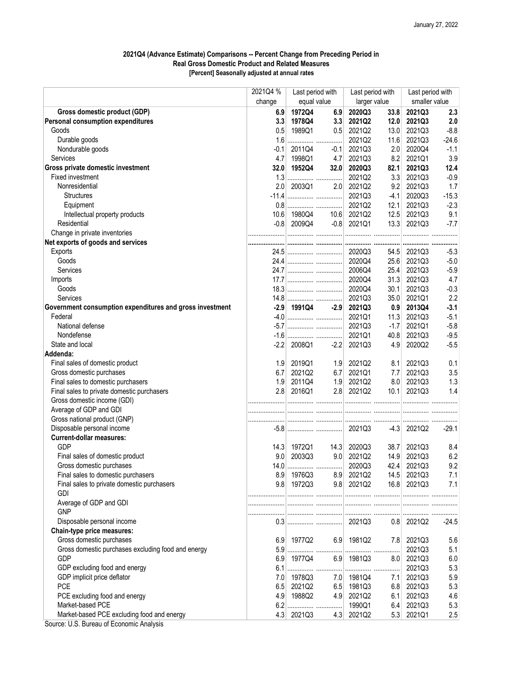## 2021Q4 (Advance Estimate) Comparisons -- Percent Change from Preceding Period in Real Gross Domestic Product and Related Measures [Percent] Seasonally adjusted at annual rates

|                                                          | 2021Q4 % | Last period with |        | Last period with |                  | Last period with |         |
|----------------------------------------------------------|----------|------------------|--------|------------------|------------------|------------------|---------|
|                                                          | change   | equal value      |        | larger value     |                  | smaller value    |         |
| Gross domestic product (GDP)                             | 6.9      | 1972Q4           | 6.9    | 2020Q3           | 33.8             | 2021Q3           | 2.3     |
| Personal consumption expenditures                        | 3.3      | 1978Q4           | 3.3    | 2021Q2           | 12.0             | 2021Q3           | 2.0     |
| Goods                                                    | 0.5      | 1989Q1           | 0.5    | 2021Q2           | 13.0             | 2021Q3           | $-8.8$  |
| Durable goods                                            | 1.6      |                  |        | 2021Q2           | 11.6             | 2021Q3           | $-24.6$ |
| Nondurable goods                                         | $-0.1$   | 2011Q4           | $-0.1$ | 2021Q3           | 2.0              | 2020Q4           | $-1.1$  |
| Services                                                 | 4.7      | 1998Q1           | 4.7    | 2021Q3           | 8.2              | 2021Q1           | 3.9     |
| Gross private domestic investment                        | 32.0     | 1952Q4           | 32.0   | 2020Q3           | 82.1             | 2021Q3           | 12.4    |
| Fixed investment                                         | 1.3      |                  |        | 2021Q2           | 3.3              | 2021Q3           | $-0.9$  |
| Nonresidential                                           | 2.0      | 2003Q1           | 2.0    | 2021Q2           | 9.2              | 2021Q3           | 1.7     |
| <b>Structures</b>                                        | $-11.4$  |                  |        | 2021Q3           | $-4.1$           | 2020Q3           | $-15.3$ |
| Equipment                                                |          |                  |        | 2021Q2           | 12.1             | 2021Q3           | $-2.3$  |
| Intellectual property products                           | 10.6     | 1980Q4           | 10.6   | 2021Q2           | 12.5             | 2021Q3           | 9.1     |
| Residential                                              |          | $-0.8$ 2009Q4    |        | $-0.8$ 2021Q1    | 13.3             | 2021Q3           | $-7.7$  |
| Change in private inventories                            |          |                  |        |                  |                  |                  |         |
| Net exports of goods and services                        |          |                  |        |                  |                  |                  |         |
| Exports                                                  |          |                  |        |                  |                  | 54.5 2021Q3      | $-5.3$  |
| Goods                                                    |          |                  |        | 2020Q4           |                  | 25.6 2021Q3      | $-5.0$  |
| Services                                                 |          |                  |        | 2006Q4           | 25.4             | 2021Q3           | $-5.9$  |
| Imports                                                  |          |                  |        | 2020Q4           | 31.3             | 2021Q3           | 4.7     |
| Goods                                                    |          |                  |        | 2020Q4           | 30.1             | 2021Q3           | $-0.3$  |
| Services                                                 |          |                  |        | 2021Q3           | 35.0             | 2021Q1           | 2.2     |
| Government consumption expenditures and gross investment |          | $-2.9$ 1991Q4    | $-2.9$ | 2021Q3           | 0.9 <sub>1</sub> | 2013Q4           | $-3.1$  |
| Federal                                                  |          |                  |        | 2021Q1           | 11.3             | 2021Q3           | $-5.1$  |
| National defense                                         |          |                  |        | 2021Q3           | $-1.7$           | 2021Q1           | $-5.8$  |
| Nondefense                                               |          |                  |        | 2021Q1           | 40.8             | 2021Q3           | $-9.5$  |
| State and local                                          | $-2.2$   | 2008Q1           | $-2.2$ | 2021Q3           | 4.9              | 2020Q2           | $-5.5$  |
| Addenda:                                                 |          |                  |        |                  |                  |                  |         |
| Final sales of domestic product                          | 1.9      | 2019Q1           | 1.9    | 2021Q2           | 8.1              | 2021Q3           | 0.1     |
| Gross domestic purchases                                 | 6.7      | 2021Q2           | 6.7    | 2021Q1           | 7.7              | 2021Q3           | 3.5     |
| Final sales to domestic purchasers                       | 1.9      | 2011Q4           | 1.9    | 2021Q2           | 8.0 <sub>1</sub> | 2021Q3           | 1.3     |
| Final sales to private domestic purchasers               | 2.8      | 2016Q1           | 2.8    | 2021Q2           | 10.1             | 2021Q3           | 1.4     |
| Gross domestic income (GDI)                              |          |                  |        |                  |                  |                  |         |
| Average of GDP and GDI                                   |          |                  |        |                  |                  |                  |         |
| Gross national product (GNP)                             |          |                  |        |                  |                  |                  |         |
| Disposable personal income                               |          |                  |        |                  |                  | $-4.3$ 2021Q2    | $-29.1$ |
| <b>Current-dollar measures:</b>                          |          |                  |        |                  |                  |                  |         |
| <b>GDP</b>                                               | 14.3     | 1972Q1           | 14.3   | 2020Q3           | 38.7             | 2021Q3           | 8.4     |
| Final sales of domestic product                          | 9.0      | 2003Q3           | 9.0    | 2021Q2           | 14.9             | 2021Q3           | 6.2     |
| Gross domestic purchases                                 | 14.0     |                  |        | 2020Q3           | 42.4             | 2021Q3           | 9.2     |
| Final sales to domestic purchasers                       | 8.9      | 1976Q3           | 8.9    | 2021Q2           | 14.5             | 2021Q3           | 7.1     |
| Final sales to private domestic purchasers               | 9.8      | 1972Q3           | 9.8    | 2021Q2           | 16.8             | 2021Q3           | 7.1     |
| GDI                                                      |          |                  |        |                  |                  |                  |         |
| Average of GDP and GDI                                   |          |                  |        |                  |                  |                  |         |
| <b>GNP</b>                                               |          |                  |        |                  |                  |                  |         |
| Disposable personal income                               |          |                  |        | 2021Q3           |                  | $0.8$ 2021Q2     | -24.5   |
| Chain-type price measures:                               |          |                  |        |                  |                  |                  |         |
| Gross domestic purchases                                 | 6.9      | 1977Q2           | 6.9    | 1981Q2           |                  | 7.8 2021Q3       | 5.6     |
| Gross domestic purchases excluding food and energy       | 5.9      |                  |        |                  | .                | 2021Q3           | 5.1     |
| GDP                                                      | 6.9      | 1977Q4           | 6.9    | 1981Q3           | 8.0 <sub>1</sub> | 2021Q3           | 6.0     |
| GDP excluding food and energy                            | 6.1      |                  |        |                  | .                | 2021Q3           | 5.3     |
| GDP implicit price deflator                              | 7.0      | 1978Q3           | 7.0    | 1981Q4           | 7.1              | 2021Q3           | 5.9     |
| <b>PCE</b>                                               | 6.5      | 2021Q2           | 6.5    | 1981Q3           | 6.8              | 2021Q3           | 5.3     |
| PCE excluding food and energy                            | 4.9      | 1988Q2           | 4.9    | 2021Q2           | 6.1              | 2021Q3           | 4.6     |
| Market-based PCE                                         | 6.2      | .                | .      | 1990Q1           | 6.4              | 2021Q3           | 5.3     |
| Market-based PCE excluding food and energy               |          | 4.3 2021Q3       | 4.3    | 2021Q2           | 5.3              | 2021Q1           | 2.5     |
| $110.0$ Dimensional Expression Angle                     |          |                  |        |                  |                  |                  |         |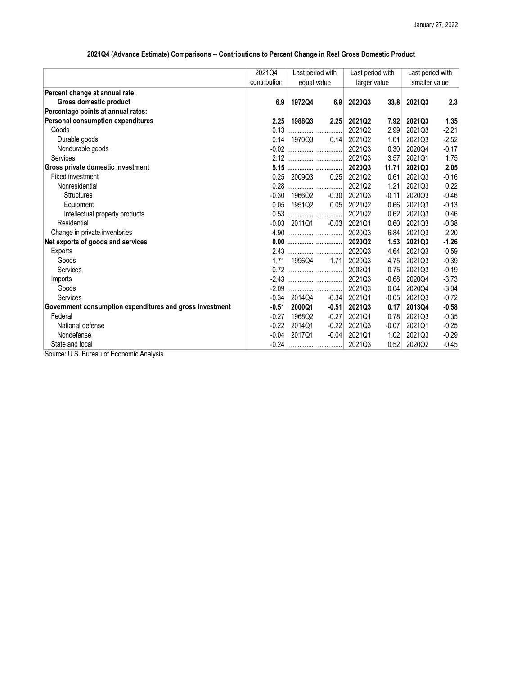## 2021Q4 (Advance Estimate) Comparisons -- Contributions to Percent Change in Real Gross Domestic Product

| 2021Q4       | Last period with<br>equal value |                                                                                                                 | Last period with<br>larger value |         | Last period with |         |
|--------------|---------------------------------|-----------------------------------------------------------------------------------------------------------------|----------------------------------|---------|------------------|---------|
| contribution |                                 |                                                                                                                 |                                  |         | smaller value    |         |
|              |                                 |                                                                                                                 |                                  |         |                  |         |
| 6.9          | 1972Q4                          | 6.9                                                                                                             | 2020Q3                           | 33.8    | 2021Q3           | 2.3     |
|              |                                 |                                                                                                                 |                                  |         |                  |         |
|              | 1988Q3                          | 2.25                                                                                                            | 2021Q2                           | 7.92    | 2021Q3           | 1.35    |
|              |                                 |                                                                                                                 | 2021Q2                           | 2.99    | 2021Q3           | $-2.21$ |
|              |                                 | 0.14                                                                                                            | 2021Q2                           | 1.01    | 2021Q3           | $-2.52$ |
|              |                                 |                                                                                                                 | 2021Q3                           | 0.30    | 2020Q4           | $-0.17$ |
|              |                                 |                                                                                                                 | 2021Q3                           | 3.57    | 2021Q1           | 1.75    |
|              |                                 |                                                                                                                 | 2020Q3                           | 11.71   | 2021Q3           | 2.05    |
|              | 2009Q3                          | 0.25                                                                                                            | 2021Q2                           | 0.61    | 2021Q3           | $-0.16$ |
|              |                                 |                                                                                                                 | 2021Q2                           | 1.21    | 2021Q3           | 0.22    |
|              | 1966Q2                          | $-0.30$                                                                                                         | 2021Q3                           | $-0.11$ | 2020Q3           | $-0.46$ |
| 0.05         | 1951Q2                          | 0.05                                                                                                            | 2021Q2                           | 0.66    | 2021Q3           | $-0.13$ |
|              |                                 |                                                                                                                 | 2021Q2                           | 0.62    | 2021Q3           | 0.46    |
|              | 2011Q1                          | $-0.03$                                                                                                         | 2021Q1                           | 0.60    | 2021Q3           | $-0.38$ |
|              |                                 |                                                                                                                 | 2020Q3                           | 6.84    | 2021Q3           | 2.20    |
|              |                                 |                                                                                                                 | 2020Q2                           | 1.53    | 2021Q3           | $-1.26$ |
|              |                                 |                                                                                                                 | 2020Q3                           | 4.64    | 2021Q3           | $-0.59$ |
|              | 1996Q4                          |                                                                                                                 | 2020Q3                           | 4.75    | 2021Q3           | $-0.39$ |
|              |                                 |                                                                                                                 | 2002Q1                           | 0.75    | 2021Q3           | $-0.19$ |
|              |                                 |                                                                                                                 | 2021Q3                           | $-0.68$ | 2020Q4           | $-3.73$ |
|              |                                 |                                                                                                                 | 2021Q3                           | 0.04    | 2020Q4           | $-3.04$ |
|              | 2014Q4                          | $-0.34$                                                                                                         | 2021Q1                           | $-0.05$ | 2021Q3           | $-0.72$ |
|              | 2000Q1                          | $-0.51$                                                                                                         | 2021Q3                           | 0.17    | 2013Q4           | $-0.58$ |
| $-0.27$      | 1968Q2                          | $-0.27$                                                                                                         | 2021Q1                           | 0.78    | 2021Q3           | $-0.35$ |
| $-0.22$      | 2014Q1                          | $-0.22$                                                                                                         | 2021Q3                           | $-0.07$ | 2021Q1           | $-0.25$ |
|              | 2017Q1                          | $-0.04$                                                                                                         | 2021Q1                           | 1.02    | 2021Q3           | $-0.29$ |
|              |                                 |                                                                                                                 | 2021Q3                           | 0.52    | 2020Q2           | $-0.45$ |
|              |                                 | 2.25<br>$0.14$ 1970Q3<br>0.25<br>$-0.30$<br>0.53<br>$-0.03$<br>1.71<br>$-0.34$<br>$-0.51$<br>$-0.04$<br>$-0.24$ | 1.71                             |         |                  |         |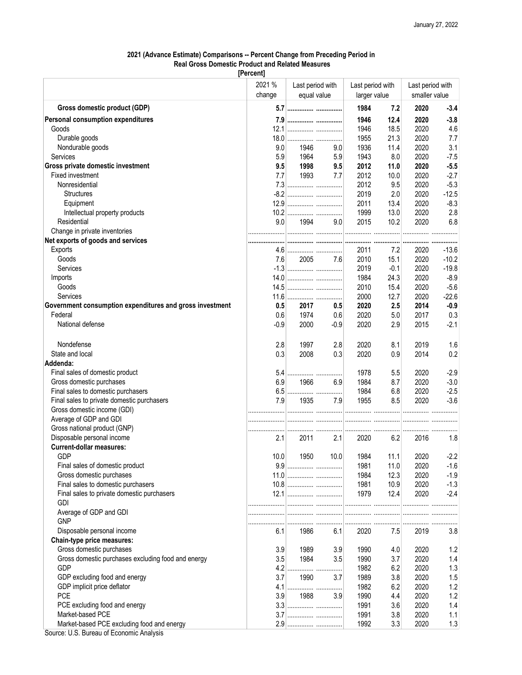## 2021 (Advance Estimate) Comparisons -- Percent Change from Preceding Period in Real Gross Domestic Product and Related Measures

[Percent]

|                                                          | 2021 %<br>change | Last period with<br>equal value |        | Last period with<br>larger value |        | Last period with<br>smaller value |         |
|----------------------------------------------------------|------------------|---------------------------------|--------|----------------------------------|--------|-----------------------------------|---------|
| Gross domestic product (GDP)                             |                  | 5.7                             |        | 1984                             | 7.2    | 2020                              | $-3.4$  |
| Personal consumption expenditures                        |                  | 7.9                             |        | 1946                             | 12.4   | 2020                              | $-3.8$  |
| Goods                                                    |                  |                                 |        | 1946                             | 18.5   | 2020                              | 4.6     |
| Durable goods                                            | 18.0             |                                 |        | 1955                             | 21.3   | 2020                              | 7.7     |
| Nondurable goods                                         | 9.0              | 1946                            | 9.0    | 1936                             | 11.4   | 2020                              | 3.1     |
| Services                                                 | 5.9              | 1964                            | 5.9    | 1943                             | 8.0    | 2020                              | $-7.5$  |
| Gross private domestic investment                        | 9.5              | 1998                            | 9.5    | 2012                             | 11.0   | 2020                              | $-5.5$  |
| Fixed investment                                         |                  | 1993                            | 7.7    |                                  |        |                                   | $-2.7$  |
|                                                          | 7.7              |                                 |        | 2012                             | 10.0   | 2020                              |         |
| Nonresidential                                           |                  |                                 |        | 2012                             | 9.5    | 2020                              | $-5.3$  |
| <b>Structures</b>                                        |                  |                                 |        | 2019                             | 2.0    | 2020                              | $-12.5$ |
| Equipment                                                |                  |                                 |        | 2011                             | 13.4   | 2020                              | $-8.3$  |
| Intellectual property products                           |                  |                                 |        | 1999                             | 13.0   | 2020                              | 2.8     |
| Residential                                              | 9.0              | 1994                            | 9.0    | 2015                             | 10.2   | 2020                              | 6.8     |
| Change in private inventories                            |                  |                                 |        |                                  |        |                                   |         |
| Net exports of goods and services                        |                  |                                 |        |                                  |        |                                   |         |
| Exports                                                  |                  |                                 |        | 2011                             | 7.2    | 2020                              | $-13.6$ |
| Goods                                                    | 7.6              | 2005                            | 7.6    | 2010                             | 15.1   | 2020                              | $-10.2$ |
| Services                                                 |                  |                                 |        | 2019                             | $-0.1$ | 2020                              | $-19.8$ |
| Imports                                                  |                  |                                 |        | 1984                             | 24.3   | 2020                              | $-8.9$  |
| Goods                                                    |                  |                                 |        | 2010                             | 15.4   | 2020                              | $-5.6$  |
| Services                                                 |                  |                                 |        | 2000                             | 12.7   | 2020                              | $-22.6$ |
| Government consumption expenditures and gross investment | 0.5              | 2017                            | 0.5    | 2020                             | 2.5    | 2014                              | $-0.9$  |
| Federal                                                  | 0.6              | 1974                            | 0.6    | 2020                             | 5.0    | 2017                              | 0.3     |
| National defense                                         | $-0.9$           | 2000                            | $-0.9$ | 2020                             | 2.9    | 2015                              | $-2.1$  |
|                                                          |                  |                                 |        |                                  |        |                                   |         |
| Nondefense                                               | 2.8              | 1997                            | 2.8    | 2020                             | 8.1    | 2019                              | 1.6     |
| State and local                                          | 0.3              | 2008                            | 0.3    | 2020                             | 0.9    | 2014                              | 0.2     |
| Addenda:                                                 |                  |                                 |        |                                  |        |                                   |         |
| Final sales of domestic product                          | 5.4              |                                 |        | 1978                             | 5.5    | 2020                              | $-2.9$  |
| Gross domestic purchases                                 | 6.9              | 1966                            | 6.9    | 1984                             | 8.7    | 2020                              | $-3.0$  |
| Final sales to domestic purchasers                       | 6.5              |                                 |        | 1984                             | 6.8    | 2020                              | $-2.5$  |
| Final sales to private domestic purchasers               | 7.9              | 1935                            | 7.9    | 1955                             | 8.5    | 2020                              | $-3.6$  |
| Gross domestic income (GDI)                              |                  |                                 |        |                                  |        |                                   |         |
| Average of GDP and GDI                                   |                  |                                 |        |                                  |        |                                   |         |
| Gross national product (GNP)                             | .                |                                 |        |                                  |        |                                   |         |
| Disposable personal income                               | 2.1              | 2011                            | 2.1    | 2020                             | 6.2    | 2016                              | 1.8     |
| <b>Current-dollar measures:</b>                          |                  |                                 |        |                                  |        |                                   |         |
| <b>GDP</b>                                               | 10.0             | 1950                            | 10.0   | 1984                             | 11.1   | 2020                              | $-2.2$  |
| Final sales of domestic product                          |                  |                                 |        |                                  |        |                                   |         |
|                                                          |                  |                                 |        | 1981                             | 11.0   | 2020                              | $-1.6$  |
| Gross domestic purchases                                 |                  |                                 |        | 1984                             | 12.3   | 2020                              | $-1.9$  |
| Final sales to domestic purchasers                       |                  |                                 |        | 1981                             | 10.9   | 2020                              | $-1.3$  |
| Final sales to private domestic purchasers               |                  |                                 |        | 1979                             | 12.4   | 2020                              | $-2.4$  |
| <b>GDI</b>                                               |                  |                                 |        |                                  |        |                                   |         |
| Average of GDP and GDI                                   |                  |                                 |        |                                  |        |                                   |         |
| <b>GNP</b>                                               |                  |                                 |        |                                  |        |                                   |         |
| Disposable personal income                               | 6.1              | 1986                            | 6.1    | 2020                             | 7.5    | 2019                              | 3.8     |
| Chain-type price measures:                               |                  |                                 |        |                                  |        |                                   |         |
| Gross domestic purchases                                 | 3.9              | 1989                            | 3.9    | 1990                             | 4.0    | 2020                              | 1.2     |
| Gross domestic purchases excluding food and energy       | 3.5              | 1984                            | 3.5    | 1990                             | 3.7    | 2020                              | 1.4     |
| <b>GDP</b>                                               |                  |                                 |        | 1982                             | 6.2    | 2020                              | 1.3     |
| GDP excluding food and energy                            | 3.7              | 1990                            | 3.7    | 1989                             | 3.8    | 2020                              | 1.5     |
| GDP implicit price deflator                              | 4.1              |                                 |        | 1982                             | 6.2    | 2020                              | 1.2     |
| <b>PCE</b>                                               | 3.9              | 1988                            | 3.9    | 1990                             | 4.4    | 2020                              | 1.2     |
| PCE excluding food and energy                            |                  |                                 |        | 1991                             | 3.6    | 2020                              | 1.4     |
| Market-based PCE                                         | 3.7              |                                 |        | 1991                             | 3.8    | 2020                              | 1.1     |
|                                                          |                  |                                 |        |                                  |        |                                   |         |
| Market-based PCE excluding food and energy               |                  |                                 |        | 1992                             | 3.3    | 2020                              | 1.3     |